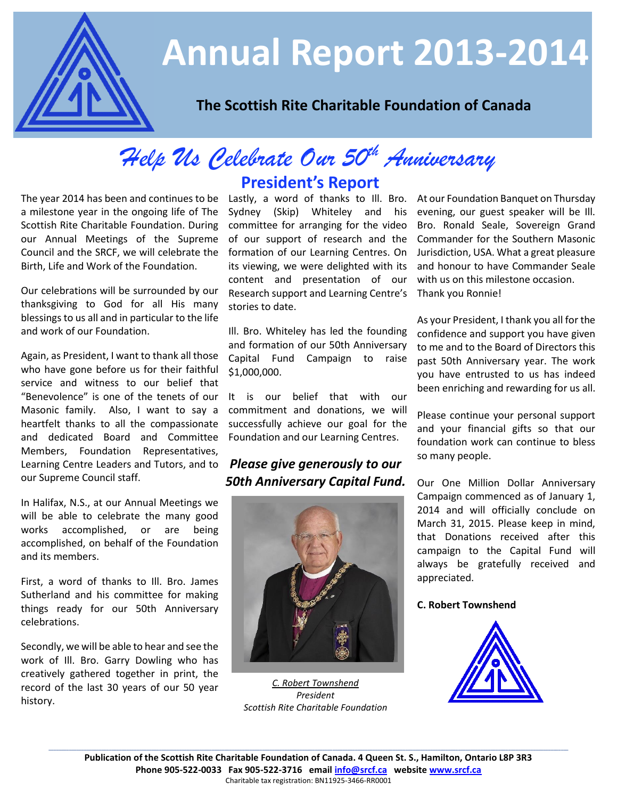

# **Annual Report 2013-2014**

## **The Scottish Rite Charitable Foundation of Canada**

# *Help Us Celebrate Our 50th Anniversary*

The year 2014 has been and continues to be Lastly, a word of thanks to Ill. Bro. At our Foundation E<br>a milestone year in the ongoing life of The Sydney (Skip) Whiteley and his evening, our guest a milestone year in the ongoing life of The Scottish Rite Charitable Foundation. During our Annual Meetings of the Supreme Council and the SRCF, we will celebrate the Birth, Life and Work of the Foundation.

Our celebrations will be surrounded by our thanksgiving to God for all His many blessings to us all and in particular to the life and work of our Foundation.

Again, as President, I want to thank all those who have gone before us for their faithful service and witness to our belief that "Benevolence" is one of the tenets of our Masonic family. Also, I want to say a heartfelt thanks to all the compassionate and dedicated Board and Committee Members, Foundation Representatives, Learning Centre Leaders and Tutors, and to our Supreme Council staff.

In Halifax, N.S., at our Annual Meetings we will be able to celebrate the many good works accomplished, or are being accomplished, on behalf of the Foundation and its members.

First, a word of thanks to Ill. Bro. James Sutherland and his committee for making things ready for our 50th Anniversary celebrations.

Secondly, we will be able to hear and see the work of Ill. Bro. Garry Dowling who has creatively gathered together in print, the record of the last 30 years of our 50 year history.

## **President's Report**

Sydney (Skip) Whiteley and his committee for arranging for the video of our support of research and the formation of our Learning Centres. On its viewing, we were delighted with its content and presentation of our Research support and Learning Centre's stories to date.

Ill. Bro. Whiteley has led the founding and formation of our 50th Anniversary Capital Fund Campaign to raise \$1,000,000.

It is our belief that with our commitment and donations, we will successfully achieve our goal for the Foundation and our Learning Centres.

## *Please give generously to our 50th Anniversary Capital Fund.*



*C. Robert Townshend President Scottish Rite Charitable Foundation*

At our Foundation Banquet on Thursday evening, our guest speaker will be Ill. Bro. Ronald Seale, Sovereign Grand Commander for the Southern Masonic Jurisdiction, USA. What a great pleasure and honour to have Commander Seale with us on this milestone occasion. Thank you Ronnie!

As your President, I thank you all for the confidence and support you have given to me and to the Board of Directors this past 50th Anniversary year. The work you have entrusted to us has indeed been enriching and rewarding for us all.

Please continue your personal support and your financial gifts so that our foundation work can continue to bless so many people.

Our One Million Dollar Anniversary Campaign commenced as of January 1, 2014 and will officially conclude on March 31, 2015. Please keep in mind, that Donations received after this campaign to the Capital Fund will always be gratefully received and appreciated.

#### **C. Robert Townshend**

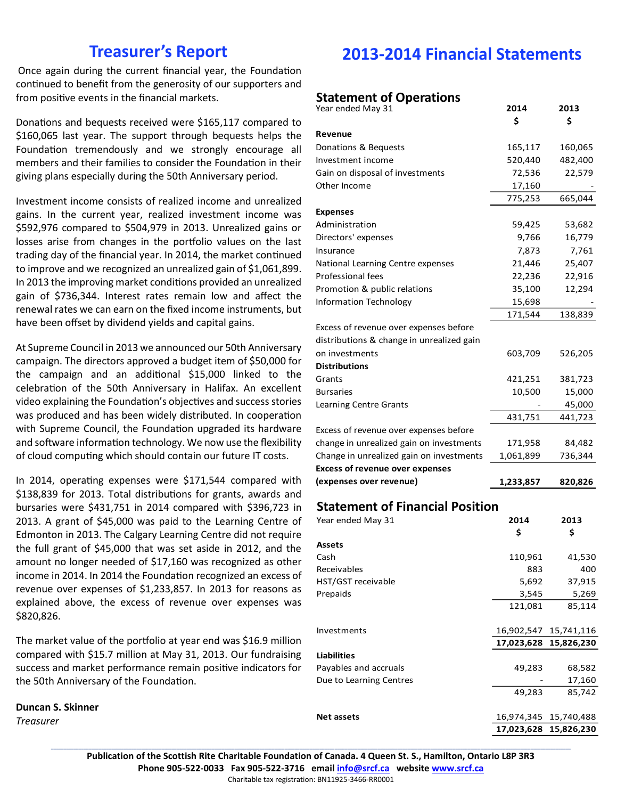## **Treasurer's Report**

Once again during the current financial year, the Foundation continued to benefit from the generosity of our supporters and from positive events in the financial markets.

Donations and bequests received were \$165,117 compared to \$160,065 last year. The support through bequests helps the Foundation tremendously and we strongly encourage all members and their families to consider the Foundation in their giving plans especially during the 50th Anniversary period.

Investment income consists of realized income and unrealized gains. In the current year, realized investment income was \$592,976 compared to \$504,979 in 2013. Unrealized gains or losses arise from changes in the portfolio values on the last trading day of the financial year. In 2014, the market continued to improve and we recognized an unrealized gain of \$1,061,899. In 2013 the improving market conditions provided an unrealized gain of \$736,344. Interest rates remain low and affect the renewal rates we can earn on the fixed income instruments, but have been offset by dividend yields and capital gains.

At Supreme Council in 2013 we announced our 50th Anniversary campaign. The directors approved a budget item of \$50,000 for the campaign and an additional \$15,000 linked to the celebration of the 50th Anniversary in Halifax. An excellent video explaining the Foundation's objectives and success stories was produced and has been widely distributed. In cooperation with Supreme Council, the Foundation upgraded its hardware and software information technology. We now use the flexibility of cloud computing which should contain our future IT costs.

In 2014, operating expenses were \$171,544 compared with \$138,839 for 2013. Total distributions for grants, awards and bursaries were \$431,751 in 2014 compared with \$396,723 in 2013. A grant of \$45,000 was paid to the Learning Centre of Edmonton in 2013. The Calgary Learning Centre did not require the full grant of \$45,000 that was set aside in 2012, and the amount no longer needed of \$17,160 was recognized as other income in 2014. In 2014 the Foundation recognized an excess of revenue over expenses of \$1,233,857. In 2013 for reasons as explained above, the excess of revenue over expenses was \$820,826.

The market value of the portfolio at year end was \$16.9 million compared with \$15.7 million at May 31, 2013. Our fundraising success and market performance remain positive indicators for the 50th Anniversary of the Foundation.

**Duncan S. Skinner** *Treasurer*

## **2013-2014 Financial Statements**

#### **Statement of Operations**

| Year ended May 31                         | 2014      | 2013    |
|-------------------------------------------|-----------|---------|
|                                           | \$        | Ś       |
| Revenue                                   |           |         |
| Donations & Bequests                      | 165,117   | 160,065 |
| Investment income                         | 520,440   | 482,400 |
| Gain on disposal of investments           | 72,536    | 22,579  |
| Other Income                              | 17,160    |         |
|                                           | 775,253   | 665,044 |
| <b>Expenses</b>                           |           |         |
| Administration                            | 59,425    | 53,682  |
| Directors' expenses                       | 9,766     | 16,779  |
| Insurance                                 | 7,873     | 7,761   |
| National Learning Centre expenses         | 21,446    | 25,407  |
| Professional fees                         | 22,236    | 22,916  |
| Promotion & public relations              | 35,100    | 12,294  |
| <b>Information Technology</b>             | 15,698    |         |
|                                           | 171,544   | 138,839 |
| Excess of revenue over expenses before    |           |         |
| distributions & change in unrealized gain |           |         |
| on investments                            | 603,709   | 526,205 |
| <b>Distributions</b>                      |           |         |
| Grants                                    | 421,251   | 381,723 |
| <b>Bursaries</b>                          | 10,500    | 15,000  |
| <b>Learning Centre Grants</b>             |           | 45,000  |
|                                           | 431,751   | 441,723 |
| Excess of revenue over expenses before    |           |         |
| change in unrealized gain on investments  | 171,958   | 84,482  |
| Change in unrealized gain on investments  | 1,061,899 | 736,344 |
| <b>Excess of revenue over expenses</b>    |           |         |
| (expenses over revenue)                   | 1,233,857 | 820,826 |

### **Statement of Financial Position**

| Year ended May 31       | 2014       | 2013       |
|-------------------------|------------|------------|
|                         | \$         | \$         |
| <b>Assets</b>           |            |            |
| Cash                    | 110,961    | 41,530     |
| Receivables             | 883        | 400        |
| HST/GST receivable      | 5,692      | 37,915     |
| Prepaids                | 3,545      | 5,269      |
|                         | 121,081    | 85,114     |
|                         |            |            |
| <b>Investments</b>      | 16,902,547 | 15,741,116 |
|                         | 17,023,628 | 15,826,230 |
| <b>Liabilities</b>      |            |            |
| Payables and accruals   | 49,283     | 68,582     |
| Due to Learning Centres |            | 17,160     |
|                         | 49,283     | 85,742     |
|                         |            |            |
| Net assets              | 16,974,345 | 15,740,488 |
|                         | 17,023,628 | 15,826,230 |

**\_\_\_\_\_\_\_\_\_\_\_\_\_\_\_\_\_\_\_\_\_\_\_\_\_\_\_\_\_\_\_\_\_\_\_\_\_\_\_\_\_\_\_\_\_\_\_\_\_\_\_\_\_\_\_\_\_\_\_\_\_\_\_\_\_\_\_\_\_\_\_\_\_\_\_\_\_\_\_\_\_\_\_\_\_\_\_\_\_\_\_\_\_\_\_\_\_\_\_\_\_\_\_\_\_\_\_\_\_\_\_\_\_\_\_\_\_\_\_\_\_\_\_\_\_\_\_\_\_\_\_\_\_\_\_\_\_\_\_\_\_\_\_\_\_\_\_\_\_\_\_\_\_\_\_\_\_\_\_\_\_\_\_\_\_\_\_\_\_\_\_\_\_\_\_\_\_\_\_\_\_\_\_\_\_\_\_\_\_\_\_\_\_\_\_\_\_\_\_\_\_\_\_\_\_\_\_ Publication of the Scottish Rite Charitable Foundation of Canada. 4 Queen St. S., Hamilton, Ontario L8P 3R3 Phone 905-522-0033 Fax 905-522-3716 email [info@srcf.ca](mailto:info@srcf.ca) website [www.srcf.ca](http://www.srcf.ca/)** Charitable tax registration: BN11925-3466-RR0001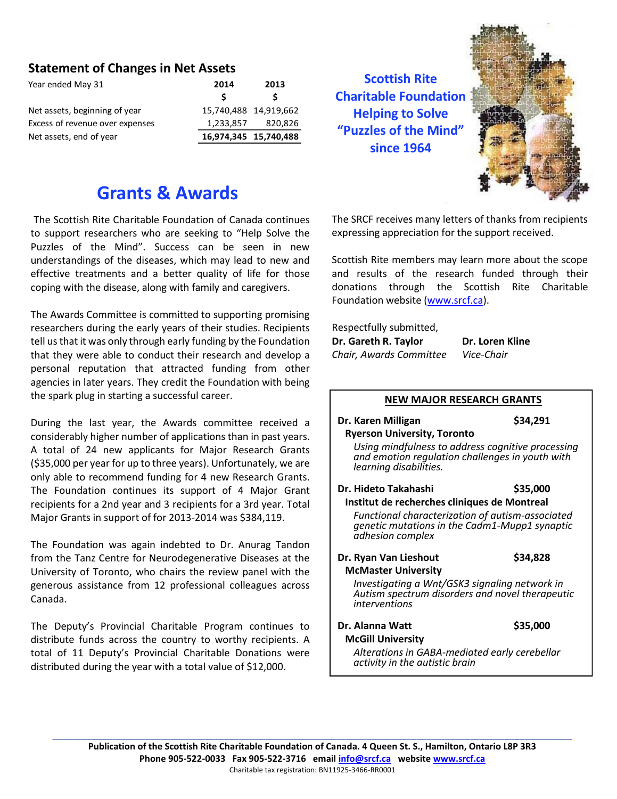### **Statement of Changes in Net Assets**

| Year ended May 31               | 2014                  | 2013    |
|---------------------------------|-----------------------|---------|
|                                 | S                     |         |
| Net assets, beginning of year   | 15,740,488 14,919,662 |         |
| Excess of revenue over expenses | 1,233,857             | 820,826 |
| Net assets, end of year         | 16,974,345 15,740,488 |         |

**Scottish Rite Charitable Foundation Helping to Solve "Puzzles of the Mind" since 1964**



## **Grants & Awards**

The Scottish Rite Charitable Foundation of Canada continues to support researchers who are seeking to "Help Solve the Puzzles of the Mind". Success can be seen in new understandings of the diseases, which may lead to new and effective treatments and a better quality of life for those coping with the disease, along with family and caregivers.

The Awards Committee is committed to supporting promising researchers during the early years of their studies. Recipients tell us that it was only through early funding by the Foundation that they were able to conduct their research and develop a personal reputation that attracted funding from other agencies in later years. They credit the Foundation with being the spark plug in starting a successful career.

During the last year, the Awards committee received a considerably higher number of applications than in past years. A total of 24 new applicants for Major Research Grants (\$35,000 per year for up to three years). Unfortunately, we are only able to recommend funding for 4 new Research Grants. The Foundation continues its support of 4 Major Grant recipients for a 2nd year and 3 recipients for a 3rd year. Total Major Grants in support of for 2013-2014 was \$384,119.

The Foundation was again indebted to Dr. Anurag Tandon from the Tanz Centre for Neurodegenerative Diseases at the University of Toronto, who chairs the review panel with the generous assistance from 12 professional colleagues across Canada.

The Deputy's Provincial Charitable Program continues to distribute funds across the country to worthy recipients. A total of 11 Deputy's Provincial Charitable Donations were distributed during the year with a total value of \$12,000.

The SRCF receives many letters of thanks from recipients expressing appreciation for the support received.

Scottish Rite members may learn more about the scope and results of the research funded through their donations through the Scottish Rite Charitable Foundation website [\(www.srcf.ca\)](http://www.srcf.ca/).

Respectfully submitted,

| Dr. Gareth R. Taylor    | Dr. Loren Kline |
|-------------------------|-----------------|
| Chair, Awards Committee | Vice-Chair      |

#### **NEW MAJOR RESEARCH GRANTS**

- **Dr. Karen Milligan \$34,291 Ryerson University, Toronto** *Using mindfulness to address cognitive processing* 
	- *and emotion regulation challenges in youth with learning disabilities.*
- **Dr. Hideto Takahashi \$35,000 Institut de recherches cliniques de Montreal** *Functional characterization of autism-associated* 
	- *genetic mutations in the Cadm1-Mupp1 synaptic adhesion complex*
- **Dr. Ryan Van Lieshout \$34,828 McMaster University**

*Investigating a Wnt/GSK3 signaling network in Autism spectrum disorders and novel therapeutic interventions*

**Dr. Alanna Watt** \$35,000  **McGill University**

*Alterations in GABA-mediated early cerebellar activity in the autistic brain*